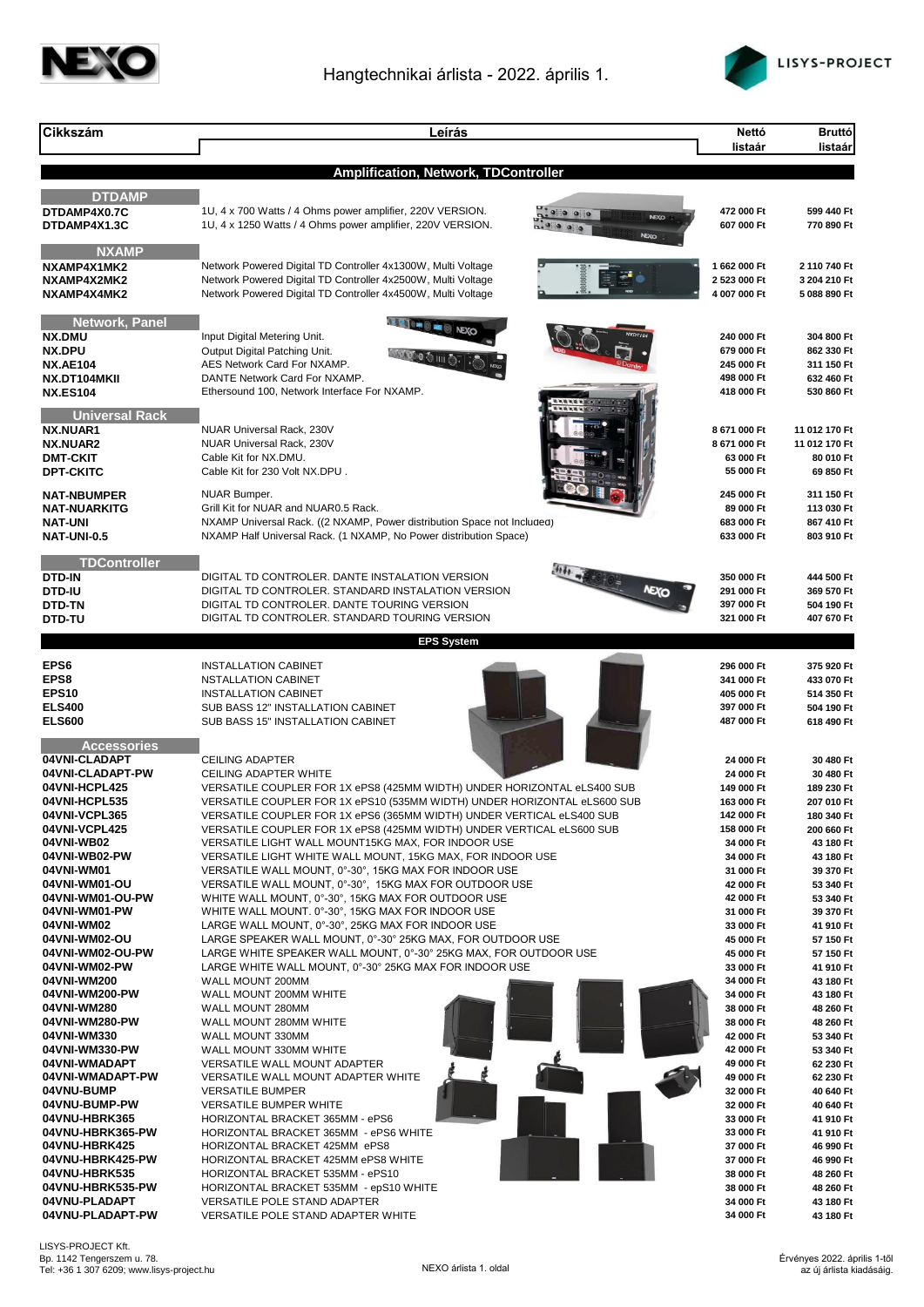



| <b>Cikkszám</b>                           | Leírás                                                                                                                                         | Nettó<br>listaár         | <b>Bruttó</b><br>listaár |
|-------------------------------------------|------------------------------------------------------------------------------------------------------------------------------------------------|--------------------------|--------------------------|
|                                           | Amplification, Network, TDController                                                                                                           |                          |                          |
| <b>DTDAMP</b>                             |                                                                                                                                                |                          |                          |
| DTDAMP4X0.7C                              | 1U, 4 x 700 Watts / 4 Ohms power amplifier, 220V VERSION.<br><b>NEXO</b>                                                                       | 472 000 Ft               | 599 440 Ft               |
| DTDAMP4X1.3C                              | 1U, 4 x 1250 Watts / 4 Ohms power amplifier, 220V VERSION.<br>NEXO                                                                             | 607 000 Ft               | 770 890 Ft               |
| <b>NXAMP</b><br>NXAMP4X1MK2               | Network Powered Digital TD Controller 4x1300W, Multi Voltage                                                                                   | 1 662 000 Ft             | 2 110 740 Ft             |
| NXAMP4X2MK2                               | Network Powered Digital TD Controller 4x2500W, Multi Voltage                                                                                   | 2 523 000 Ft             | 3 204 210 Ft             |
| NXAMP4X4MK2                               | Network Powered Digital TD Controller 4x4500W, Multi Voltage                                                                                   | 4 007 000 Ft             | 5 088 890 Ft             |
| <b>Network, Panel</b>                     | <b>EET = 0 = 0 NEXO</b>                                                                                                                        |                          |                          |
| NX.DMU<br>NX.DPU                          | Input Digital Metering Unit.<br>Output Digital Patching Unit.                                                                                  | 240 000 Ft<br>679 000 Ft | 304 800 Ft<br>862 330 Ft |
| <b>NX.AE104</b>                           | AES Network Card For NXAMP.                                                                                                                    | 245 000 Ft               | 311 150 Ft               |
| NX.DT104MKII<br><b>NX.ES104</b>           | DANTE Network Card For NXAMP.<br>Ethersound 100, Network Interface For NXAMP.                                                                  | 498 000 Ft<br>418 000 Ft | 632 460 Ft<br>530 860 Ft |
|                                           |                                                                                                                                                |                          |                          |
| <b>Universal Rack</b><br>NX.NUAR1         | NUAR Universal Rack, 230V                                                                                                                      | 8 671 000 Ft             | 11 012 170 Ft            |
| NX.NUAR2                                  | NUAR Universal Rack, 230V                                                                                                                      | 8 671 000 Ft             | 11 012 170 Ft            |
| <b>DMT-CKIT</b><br><b>DPT-CKITC</b>       | Cable Kit for NX.DMU.<br>Cable Kit for 230 Volt NX.DPU.                                                                                        | 63 000 Ft<br>55 000 Ft   | 80 010 Ft<br>69 850 Ft   |
|                                           |                                                                                                                                                |                          |                          |
| <b>NAT-NBUMPER</b><br><b>NAT-NUARKITG</b> | <b>NUAR Bumper.</b><br>Grill Kit for NUAR and NUAR0.5 Rack.                                                                                    | 245 000 Ft<br>89 000 Ft  | 311 150 Ft<br>113 030 Ft |
| <b>NAT-UNI</b>                            | NXAMP Universal Rack. ((2 NXAMP, Power distribution Space not Included)                                                                        | 683 000 Ft               | 867 410 Ft               |
| <b>NAT-UNI-0.5</b>                        | NXAMP Half Universal Rack. (1 NXAMP, No Power distribution Space)                                                                              | 633 000 Ft               | 803 910 Ft               |
| <b>TDController</b>                       |                                                                                                                                                |                          |                          |
| <b>DTD-IN</b><br><b>DTD-IU</b>            | DIGITAL TD CONTROLER. DANTE INSTALATION VERSION<br><b>MEXO</b><br>DIGITAL TD CONTROLER. STANDARD INSTALATION VERSION                           | 350 000 Ft<br>291 000 Ft | 444 500 Ft<br>369 570 Ft |
| <b>DTD-TN</b>                             | DIGITAL TD CONTROLER. DANTE TOURING VERSION                                                                                                    | 397 000 Ft               | 504 190 Ft               |
| <b>DTD-TU</b>                             | DIGITAL TD CONTROLER. STANDARD TOURING VERSION                                                                                                 | 321 000 Ft               | 407 670 Ft               |
|                                           | <b>EPS System</b>                                                                                                                              |                          |                          |
| EPS6                                      | <b>INSTALLATION CABINET</b>                                                                                                                    | 296 000 Ft               | 375 920 Ft               |
| EPS8<br><b>EPS10</b>                      | <b>NSTALLATION CABINET</b>                                                                                                                     | 341 000 Ft               | 433 070 Ft               |
| <b>ELS400</b>                             | <b>INSTALLATION CABINET</b><br>SUB BASS 12" INSTALLATION CABINET                                                                               | 405 000 Ft<br>397 000 Ft | 514 350 Ft<br>504 190 Ft |
| <b>ELS600</b>                             | SUB BASS 15" INSTALLATION CABINET                                                                                                              | 487 000 Ft               | 618 490 Ft               |
| Accessories                               |                                                                                                                                                |                          |                          |
| 04VNI-CLADAPT<br>04VNI-CLADAPT-PW         | <b>CEILING ADAPTER</b><br>CEILING ADAPTER WHITE                                                                                                | 24 000 Ft<br>24 000 Ft   | 30 480 Ft<br>30 480 Ft   |
| 04VNI-HCPL425                             | VERSATILE COUPLER FOR 1X ePS8 (425MM WIDTH) UNDER HORIZONTAL eLS400 SUB                                                                        | 149 000 Ft               | 189 230 Ft               |
| 04VNI-HCPL535                             | VERSATILE COUPLER FOR 1X ePS10 (535MM WIDTH) UNDER HORIZONTAL eLS600 SUB                                                                       | 163 000 Ft               | 207 010 Ft               |
| 04VNI-VCPL365<br>04VNI-VCPL425            | VERSATILE COUPLER FOR 1X ePS6 (365MM WIDTH) UNDER VERTICAL eLS400 SUB<br>VERSATILE COUPLER FOR 1X ePS8 (425MM WIDTH) UNDER VERTICAL eLS600 SUB | 142 000 Ft<br>158 000 Ft | 180 340 Ft<br>200 660 Ft |
| 04VNI-WB02                                | VERSATILE LIGHT WALL MOUNT15KG MAX, FOR INDOOR USE                                                                                             | 34 000 Ft                | 43 180 Ft                |
| 04VNI-WB02-PW<br>04VNI-WM01               | VERSATILE LIGHT WHITE WALL MOUNT, 15KG MAX, FOR INDOOR USE<br>VERSATILE WALL MOUNT, 0°-30°, 15KG MAX FOR INDOOR USE                            | 34 000 Ft<br>31 000 Ft   | 43 180 Ft<br>39 370 Ft   |
| 04VNI-WM01-OU                             | VERSATILE WALL MOUNT, 0°-30°, 15KG MAX FOR OUTDOOR USE                                                                                         | 42 000 Ft                | 53 340 Ft                |
| 04VNI-WM01-OU-PW<br>04VNI-WM01-PW         | WHITE WALL MOUNT, 0°-30°, 15KG MAX FOR OUTDOOR USE<br>WHITE WALL MOUNT. 0°-30°, 15KG MAX FOR INDOOR USE                                        | 42 000 Ft<br>31 000 Ft   | 53 340 Ft<br>39 370 Ft   |
| 04VNI-WM02                                | LARGE WALL MOUNT, 0°-30°, 25KG MAX FOR INDOOR USE                                                                                              | 33 000 Ft                | 41 910 Ft                |
| 04VNI-WM02-OU<br>04VNI-WM02-OU-PW         | LARGE SPEAKER WALL MOUNT, 0°-30° 25KG MAX, FOR OUTDOOR USE<br>LARGE WHITE SPEAKER WALL MOUNT, 0°-30° 25KG MAX, FOR OUTDOOR USE                 | 45 000 Ft<br>45 000 Ft   | 57 150 Ft                |
| 04VNI-WM02-PW                             | LARGE WHITE WALL MOUNT, 0°-30° 25KG MAX FOR INDOOR USE                                                                                         | 33 000 Ft                | 57 150 Ft<br>41 910 Ft   |
| 04VNI-WM200                               | WALL MOUNT 200MM                                                                                                                               | 34 000 Ft                | 43 180 Ft                |
| 04VNI-WM200-PW<br>04VNI-WM280             | WALL MOUNT 200MM WHITE<br>WALL MOUNT 280MM                                                                                                     | 34 000 Ft<br>38 000 Ft   | 43 180 Ft<br>48 260 Ft   |
| 04VNI-WM280-PW                            | WALL MOUNT 280MM WHITE                                                                                                                         | 38 000 Ft                | 48 260 Ft                |
| 04VNI-WM330<br>04VNI-WM330-PW             | WALL MOUNT 330MM<br>WALL MOUNT 330MM WHITE                                                                                                     | 42 000 Ft<br>42 000 Ft   | 53 340 Ft<br>53 340 Ft   |
| 04VNI-WMADAPT                             | VERSATILE WALL MOUNT ADAPTER                                                                                                                   | 49 000 Ft                | 62 230 Ft                |
| 04VNI-WMADAPT-PW<br>04VNU-BUMP            | VERSATILE WALL MOUNT ADAPTER WHITE<br><b>VERSATILE BUMPER</b>                                                                                  | 49 000 Ft<br>32 000 Ft   | 62 230 Ft<br>40 640 Ft   |
| 04VNU-BUMP-PW                             | <b>VERSATILE BUMPER WHITE</b>                                                                                                                  | 32 000 Ft                | 40 640 Ft                |
| 04VNU-HBRK365<br>04VNU-HBRK365-PW         | HORIZONTAL BRACKET 365MM - ePS6<br>HORIZONTAL BRACKET 365MM - ePS6 WHITE                                                                       | 33 000 Ft<br>33 000 Ft   | 41 910 Ft<br>41 910 Ft   |
| 04VNU-HBRK425                             | HORIZONTAL BRACKET 425MM ePS8                                                                                                                  | 37 000 Ft                | 46 990 Ft                |
| 04VNU-HBRK425-PW                          | HORIZONTAL BRACKET 425MM ePS8 WHITE                                                                                                            | 37 000 Ft                | 46 990 Ft                |
| 04VNU-HBRK535<br>04VNU-HBRK535-PW         | HORIZONTAL BRACKET 535MM - ePS10<br>HORIZONTAL BRACKET 535MM - epS10 WHITE                                                                     | 38 000 Ft<br>38 000 Ft   | 48 260 Ft<br>48 260 Ft   |
| 04VNU-PLADAPT                             | VERSATILE POLE STAND ADAPTER                                                                                                                   | 34 000 Ft                | 43 180 Ft                |
| 04VNU-PLADAPT-PW                          | VERSATILE POLE STAND ADAPTER WHITE                                                                                                             | 34 000 Ft                | 43 180 Ft                |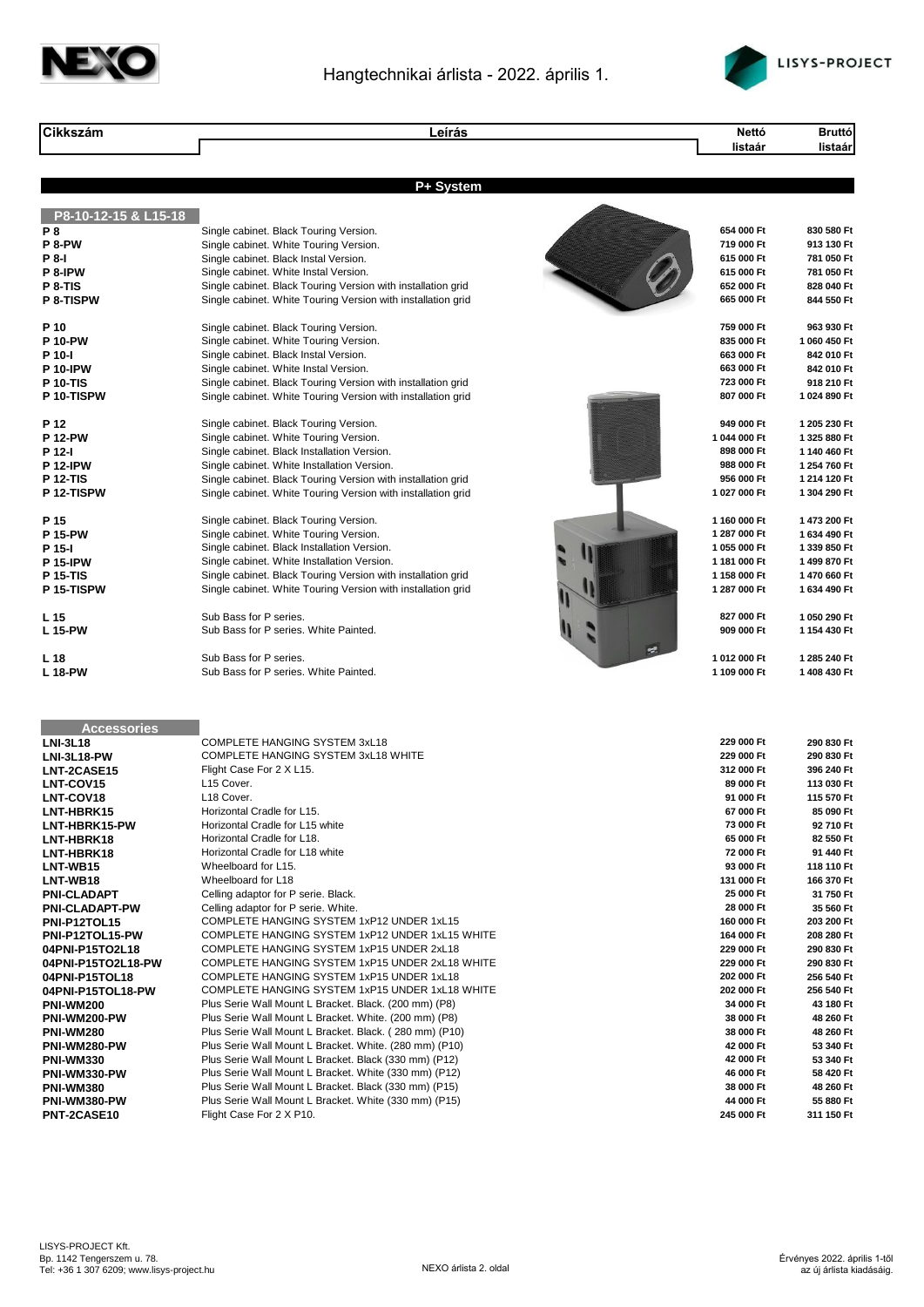



| <b>Cikkszám</b>                      | Leírás                                                                                                                       | Nettó                        | <b>Bruttó</b>                |
|--------------------------------------|------------------------------------------------------------------------------------------------------------------------------|------------------------------|------------------------------|
|                                      |                                                                                                                              | listaár                      | listaár                      |
|                                      |                                                                                                                              |                              |                              |
|                                      | P+ System                                                                                                                    |                              |                              |
| P8-10-12-15 & L15-18                 |                                                                                                                              |                              |                              |
| P8                                   | Single cabinet. Black Touring Version.                                                                                       | 654 000 Ft                   | 830 580 Ft                   |
| P 8-PW                               | Single cabinet. White Touring Version.                                                                                       | 719 000 Ft<br>615 000 Ft     | 913 130 Ft                   |
| P 8-I<br>P 8-IPW                     | Single cabinet. Black Instal Version.<br>Single cabinet. White Instal Version.                                               | 615 000 Ft                   | 781 050 Ft<br>781 050 Ft     |
| P 8-TIS                              | Single cabinet. Black Touring Version with installation grid                                                                 | 652 000 Ft                   | 828 040 Ft                   |
| <b>P 8-TISPW</b>                     | Single cabinet. White Touring Version with installation grid                                                                 | 665 000 Ft                   | 844 550 Ft                   |
| P 10                                 | Single cabinet. Black Touring Version.                                                                                       | 759 000 Ft                   | 963 930 Ft                   |
| <b>P 10-PW</b>                       | Single cabinet. White Touring Version.                                                                                       | 835 000 Ft                   | 1 060 450 Ft                 |
| P 10-I                               | Single cabinet. Black Instal Version.                                                                                        | 663 000 Ft                   | 842 010 Ft                   |
| <b>P 10-IPW</b>                      | Single cabinet. White Instal Version.                                                                                        | 663 000 Ft                   | 842 010 Ft                   |
| <b>P 10-TIS</b>                      | Single cabinet. Black Touring Version with installation grid                                                                 | 723 000 Ft                   | 918 210 Ft                   |
| P 10-TISPW                           | Single cabinet. White Touring Version with installation grid                                                                 | 807 000 Ft                   | 1 024 890 Ft                 |
| P 12                                 | Single cabinet. Black Touring Version.                                                                                       | 949 000 Ft                   | 1 205 230 Ft                 |
| <b>P 12-PW</b>                       | Single cabinet. White Touring Version.                                                                                       | 1 044 000 Ft                 | 1 325 880 Ft                 |
| P 12-I                               | Single cabinet. Black Installation Version.                                                                                  | 898 000 Ft                   | 1 140 460 Ft                 |
| <b>P 12-IPW</b><br><b>P 12-TIS</b>   | Single cabinet. White Installation Version.                                                                                  | 988 000 Ft<br>956 000 Ft     | 1 254 760 Ft<br>1 214 120 Ft |
| P 12-TISPW                           | Single cabinet. Black Touring Version with installation grid<br>Single cabinet. White Touring Version with installation grid | 1 027 000 Ft                 | 1 304 290 Ft                 |
|                                      |                                                                                                                              |                              |                              |
| P 15<br><b>P 15-PW</b>               | Single cabinet. Black Touring Version.<br>Single cabinet. White Touring Version.                                             | 1 160 000 Ft<br>1 287 000 Ft | 1 473 200 Ft<br>1 634 490 Ft |
| P 15-I                               | Single cabinet. Black Installation Version.                                                                                  | 1 055 000 Ft                 | 1 339 850 Ft                 |
| <b>P 15-IPW</b>                      | Single cabinet. White Installation Version.                                                                                  | 1 181 000 Ft                 | 1 499 870 Ft                 |
| <b>P 15-TIS</b>                      | Single cabinet. Black Touring Version with installation grid                                                                 | 1 158 000 Ft                 | 1470 660 Ft                  |
| P 15-TISPW                           | Single cabinet. White Touring Version with installation grid                                                                 | 1 287 000 Ft                 | 1 634 490 Ft                 |
| L 15                                 | Sub Bass for P series.                                                                                                       | 827 000 Ft                   | 1 050 290 Ft                 |
| L 15-PW                              | Sub Bass for P series. White Painted.                                                                                        | 909 000 Ft                   | 1 154 430 Ft                 |
| L 18                                 | Sub Bass for P series.                                                                                                       | 1 012 000 Ft                 | 1 285 240 Ft                 |
| <b>L18-PW</b>                        | Sub Bass for P series. White Painted.                                                                                        | 1 109 000 Ft                 | 1 408 430 Ft                 |
|                                      |                                                                                                                              |                              |                              |
| <b>Accessories</b>                   |                                                                                                                              |                              |                              |
| <b>LNI-3L18</b>                      | COMPLETE HANGING SYSTEM 3xL18                                                                                                | 229 000 Ft                   | 290 830 Ft                   |
| LNI-3L18-PW                          | COMPLETE HANGING SYSTEM 3xL18 WHITE                                                                                          | 229 000 Ft                   | 290 830 Ft                   |
| LNT-2CASE15<br>LNT-COV15             | Flight Case For 2 X L15.<br>L15 Cover.                                                                                       | 312 000 Ft<br>89 000 Ft      | 396 240 Ft<br>113 030 Ft     |
| LNT-COV18                            | L18 Cover.                                                                                                                   | 91 000 Ft                    | 115 570 Ft                   |
| LNT-HBRK15                           | Horizontal Cradle for L15.                                                                                                   | 67 000 Ft                    | 85 090 Ft                    |
| LNT-HBRK15-PW                        | Horizontal Cradle for L15 white                                                                                              | 73 000 Ft                    | 92710 Ft                     |
| LNT-HBRK18                           | Horizontal Cradle for L18.                                                                                                   | 65 000 Ft                    | 82 550 Ft                    |
| LNT-HBRK18                           | Horizontal Cradle for L18 white<br>Wheelboard for L15.                                                                       | 72 000 Ft<br>93 000 Ft       | 91 440 Ft<br>118 110 Ft      |
| LNT-WB15<br>LNT-WB18                 | Wheelboard for L18                                                                                                           | 131 000 Ft                   | 166 370 Ft                   |
| <b>PNI-CLADAPT</b>                   | Celling adaptor for P serie. Black.                                                                                          | 25 000 Ft                    | 31 750 Ft                    |
| <b>PNI-CLADAPT-PW</b>                | Celling adaptor for P serie. White.                                                                                          | 28 000 Ft                    | 35 560 Ft                    |
| PNI-P12TOL15                         | COMPLETE HANGING SYSTEM 1xP12 UNDER 1xL15                                                                                    | 160 000 Ft                   | 203 200 Ft                   |
| PNI-P12TOL15-PW                      | COMPLETE HANGING SYSTEM 1xP12 UNDER 1xL15 WHITE                                                                              | 164 000 Ft                   | 208 280 Ft                   |
| 04PNI-P15TO2L18                      | COMPLETE HANGING SYSTEM 1xP15 UNDER 2xL18<br>COMPLETE HANGING SYSTEM 1xP15 UNDER 2xL18 WHITE                                 | 229 000 Ft                   | 290 830 Ft                   |
| 04PNI-P15TO2L18-PW<br>04PNI-P15TOL18 | COMPLETE HANGING SYSTEM 1xP15 UNDER 1xL18                                                                                    | 229 000 Ft<br>202 000 Ft     | 290 830 Ft<br>256 540 Ft     |
| 04PNI-P15TOL18-PW                    | COMPLETE HANGING SYSTEM 1xP15 UNDER 1xL18 WHITE                                                                              | 202 000 Ft                   | 256 540 Ft                   |
| <b>PNI-WM200</b>                     | Plus Serie Wall Mount L Bracket. Black. (200 mm) (P8)                                                                        | 34 000 Ft                    | 43 180 Ft                    |
| PNI-WM200-PW                         | Plus Serie Wall Mount L Bracket. White. (200 mm) (P8)                                                                        | 38 000 Ft                    | 48 260 Ft                    |
| <b>PNI-WM280</b>                     | Plus Serie Wall Mount L Bracket. Black. (280 mm) (P10)                                                                       | 38 000 Ft                    | 48 260 Ft                    |
| PNI-WM280-PW<br><b>PNI-WM330</b>     | Plus Serie Wall Mount L Bracket. White. (280 mm) (P10)<br>Plus Serie Wall Mount L Bracket. Black (330 mm) (P12)              | 42 000 Ft<br>42 000 Ft       | 53 340 Ft<br>53 340 Ft       |
| PNI-WM330-PW                         | Plus Serie Wall Mount L Bracket. White (330 mm) (P12)                                                                        | 46 000 Ft                    | 58 420 Ft                    |
| PNI-WM380                            | Plus Serie Wall Mount L Bracket. Black (330 mm) (P15)                                                                        | 38 000 Ft                    | 48 260 Ft                    |
| PNI-WM380-PW                         | Plus Serie Wall Mount L Bracket. White (330 mm) (P15)                                                                        | 44 000 Ft                    | 55 880 Ft                    |
| PNT-2CASE10                          | Flight Case For 2 X P10.                                                                                                     | 245 000 Ft                   | 311 150 Ft                   |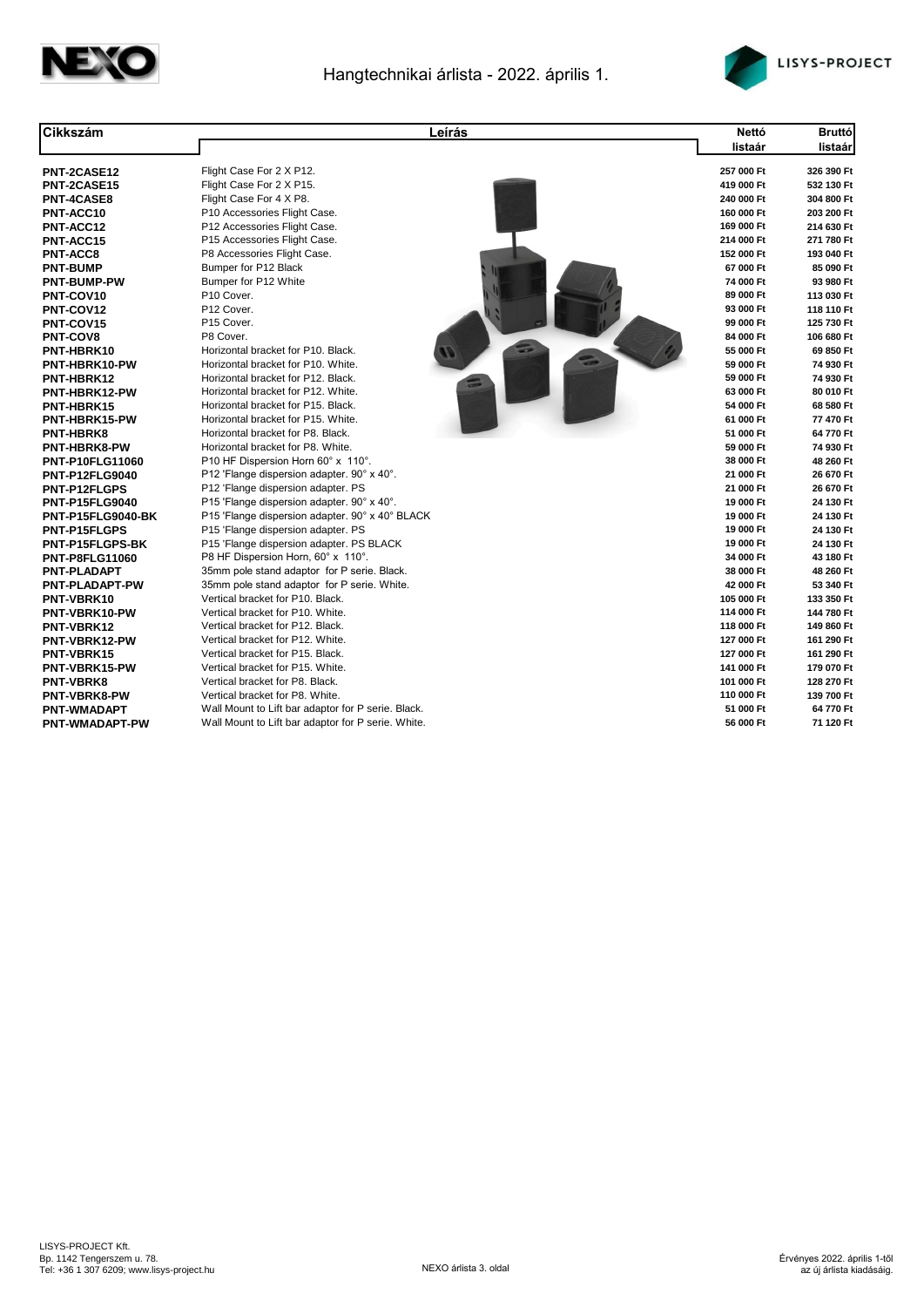



| Cikkszám               | Leírás                                                               | Nettó                   | <b>Bruttó</b>            |
|------------------------|----------------------------------------------------------------------|-------------------------|--------------------------|
|                        |                                                                      | listaár                 | listaár                  |
| PNT-2CASE12            | Flight Case For 2 X P12.                                             | 257 000 Ft              | 326 390 Ft               |
| <b>PNT-2CASE15</b>     | Flight Case For 2 X P15.                                             | 419 000 Ft              | 532 130 Ft               |
| <b>PNT-4CASE8</b>      | Flight Case For 4 X P8.                                              | 240 000 Ft              | 304 800 Ft               |
| PNT-ACC10              | P10 Accessories Flight Case.                                         | 160 000 Ft              | 203 200 Ft               |
| PNT-ACC12              | P12 Accessories Flight Case.                                         | 169 000 Ft              | 214 630 Ft               |
| PNT-ACC15              | P15 Accessories Flight Case.                                         | 214 000 Ft              | 271 780 Ft               |
| <b>PNT-ACC8</b>        | P8 Accessories Flight Case.                                          | 152 000 Ft              | 193 040 Ft               |
| <b>PNT-BUMP</b>        | Bumper for P12 Black                                                 | 67 000 Ft               | 85 090 Ft                |
| <b>PNT-BUMP-PW</b>     | Bumper for P12 White                                                 | 74 000 Ft               | 93 980 Ft                |
| PNT-COV10              | P10 Cover.                                                           | 89 000 Ft               | 113 030 Ft               |
| PNT-COV12              | P12 Cover.                                                           | 93 000 Ft               | 118 110 Ft               |
| PNT-COV15              | P15 Cover.                                                           | 99 000 Ft               | 125 730 Ft               |
| <b>PNT-COV8</b>        | P8 Cover.                                                            | 84 000 Ft               | 106 680 Ft               |
| PNT-HBRK10             | Horizontal bracket for P10. Black.                                   | 55 000 Ft               | 69 850 Ft                |
| PNT-HBRK10-PW          | Horizontal bracket for P10. White.                                   | 59 000 Ft               | 74 930 Ft                |
| PNT-HBRK12             | Horizontal bracket for P12. Black.                                   | 59 000 Ft               | 74 930 Ft                |
| PNT-HBRK12-PW          | Horizontal bracket for P12. White.                                   | 63 000 Ft               | 80 010 Ft                |
| PNT-HBRK15             | Horizontal bracket for P15. Black.                                   | 54 000 Ft               | 68 580 Ft                |
| PNT-HBRK15-PW          | Horizontal bracket for P15. White.                                   | 61 000 Ft               | 77 470 Ft                |
| <b>PNT-HBRK8</b>       | Horizontal bracket for P8. Black.                                    | 51 000 Ft               | 64 770 Ft                |
| <b>PNT-HBRK8-PW</b>    | Horizontal bracket for P8. White.                                    | 59 000 Ft               | 74 930 Ft                |
| <b>PNT-P10FLG11060</b> | P10 HF Dispersion Horn 60° x 110°.                                   | 38 000 Ft               | 48 260 Ft                |
| <b>PNT-P12FLG9040</b>  | P12 'Flange dispersion adapter. 90° x 40°.                           | 21 000 Ft               | 26 670 Ft                |
| <b>PNT-P12FLGPS</b>    | P12 'Flange dispersion adapter. PS                                   | 21 000 Ft               | 26 670 Ft                |
| <b>PNT-P15FLG9040</b>  | P15 'Flange dispersion adapter. 90° x 40°.                           | 19 000 Ft               | 24 130 Ft                |
| PNT-P15FLG9040-BK      | P15 'Flange dispersion adapter. 90° x 40° BLACK                      | 19 000 Ft               | 24 130 Ft                |
| <b>PNT-P15FLGPS</b>    | P15 'Flange dispersion adapter. PS                                   | 19 000 Ft               | 24 130 Ft                |
| <b>PNT-P15FLGPS-BK</b> | P15 'Flange dispersion adapter. PS BLACK                             | 19 000 Ft               | 24 130 Ft                |
| <b>PNT-P8FLG11060</b>  | P8 HF Dispersion Horn, 60° x 110°.                                   | 34 000 Ft               | 43 180 Ft                |
| <b>PNT-PLADAPT</b>     | 35mm pole stand adaptor for P serie. Black.                          | 38 000 Ft               | 48 260 Ft                |
| <b>PNT-PLADAPT-PW</b>  | 35mm pole stand adaptor for P serie. White.                          | 42 000 Ft               | 53 340 Ft                |
| PNT-VBRK10             | Vertical bracket for P10. Black.                                     | 105 000 Ft              | 133 350 Ft               |
| PNT-VBRK10-PW          | Vertical bracket for P10. White.                                     | 114 000 Ft              | 144 780 Ft               |
| <b>PNT-VBRK12</b>      | Vertical bracket for P12. Black.                                     | 118 000 Ft              | 149 860 Ft               |
| PNT-VBRK12-PW          | Vertical bracket for P12. White.<br>Vertical bracket for P15. Black. | 127 000 Ft              | 161 290 Ft               |
| PNT-VBRK15             |                                                                      | 127 000 Ft              | 161 290 Ft               |
| PNT-VBRK15-PW          | Vertical bracket for P15. White.                                     | 141 000 Ft              | 179 070 Ft               |
| <b>PNT-VBRK8</b>       | Vertical bracket for P8. Black.<br>Vertical bracket for P8. White.   | 101 000 Ft              | 128 270 Ft<br>139 700 Ft |
| <b>PNT-VBRK8-PW</b>    |                                                                      | 110 000 Ft<br>51 000 Ft | 64 770 Ft                |
| <b>PNT-WMADAPT</b>     | Wall Mount to Lift bar adaptor for P serie. Black.                   |                         |                          |
| <b>PNT-WMADAPT-PW</b>  | Wall Mount to Lift bar adaptor for P serie. White.                   | 56 000 Ft               | 71 120 Ft                |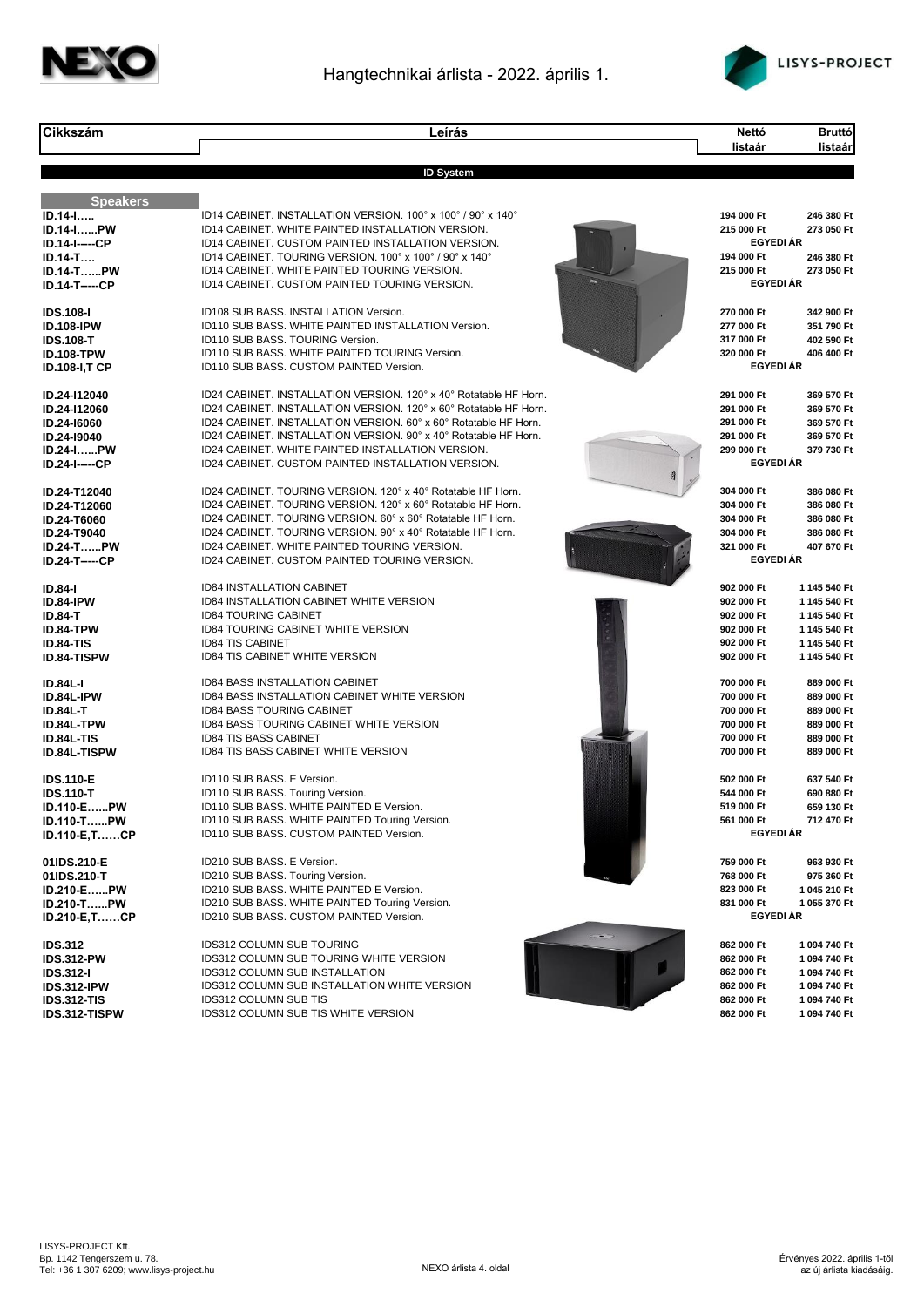



| <b>Cikkszám</b>                       | Leírás                                                                                                                                | <b>Bruttó</b><br>Nettó                                   |
|---------------------------------------|---------------------------------------------------------------------------------------------------------------------------------------|----------------------------------------------------------|
|                                       |                                                                                                                                       | listaár<br>listaár                                       |
|                                       |                                                                                                                                       |                                                          |
|                                       | <b>ID System</b>                                                                                                                      |                                                          |
| <b>Speakers</b>                       |                                                                                                                                       |                                                          |
| ID.14-I                               | ID14 CABINET. INSTALLATION VERSION. 100° x 100° / 90° x 140°                                                                          | 194 000 Ft<br>246 380 Ft                                 |
| ID.14-IPW                             | ID14 CABINET. WHITE PAINTED INSTALLATION VERSION.                                                                                     | 215 000 Ft<br>273 050 Ft                                 |
| <b>ID.14-I-----CP</b><br>$ID.14-T$    | ID14 CABINET. CUSTOM PAINTED INSTALLATION VERSION.<br>ID14 CABINET. TOURING VERSION. 100° x 100° / 90° x 140°                         | <b>EGYEDI ÁR</b><br>194 000 Ft<br>246 380 Ft             |
| <b>ID.14-TPW</b>                      | ID14 CABINET. WHITE PAINTED TOURING VERSION.                                                                                          | 215 000 Ft<br>273 050 Ft                                 |
| <b>ID.14-T-----CP</b>                 | ID14 CABINET. CUSTOM PAINTED TOURING VERSION.                                                                                         | <b>EGYEDI ÁR</b>                                         |
|                                       |                                                                                                                                       |                                                          |
| <b>IDS.108-I</b>                      | ID108 SUB BASS. INSTALLATION Version.                                                                                                 | 270 000 Ft<br>342 900 Ft                                 |
| <b>ID.108-IPW</b>                     | ID110 SUB BASS. WHITE PAINTED INSTALLATION Version.<br>ID110 SUB BASS, TOURING Version.                                               | 277 000 Ft<br>351 790 Ft<br>317 000 Ft<br>402 590 Ft     |
| <b>IDS.108-T</b><br><b>ID.108-TPW</b> | ID110 SUB BASS, WHITE PAINTED TOURING Version.                                                                                        | 320 000 Ft<br>406 400 Ft                                 |
| <b>ID.108-I,T CP</b>                  | ID110 SUB BASS. CUSTOM PAINTED Version.                                                                                               | <b>EGYEDI ÁR</b>                                         |
|                                       |                                                                                                                                       |                                                          |
| ID.24-I12040                          | ID24 CABINET. INSTALLATION VERSION. 120° x 40° Rotatable HF Horn.                                                                     | 291 000 Ft<br>369 570 Ft                                 |
| ID.24-I12060                          | ID24 CABINET. INSTALLATION VERSION. 120° x 60° Rotatable HF Horn.<br>ID24 CABINET. INSTALLATION VERSION, 60° x 60° Rotatable HF Horn. | 291 000 Ft<br>369 570 Ft<br>291 000 Ft<br>369 570 Ft     |
| ID.24-16060<br>ID.24-I9040            | ID24 CABINET. INSTALLATION VERSION, 90° x 40° Rotatable HF Horn.                                                                      | 291 000 Ft<br>369 570 Ft                                 |
| <b>ID.24-IPW</b>                      | ID24 CABINET. WHITE PAINTED INSTALLATION VERSION.                                                                                     | 299 000 Ft<br>379 730 Ft                                 |
| <b>ID.24-I-----CP</b>                 | ID24 CABINET. CUSTOM PAINTED INSTALLATION VERSION.                                                                                    | <b>EGYEDI ÁR</b>                                         |
|                                       |                                                                                                                                       |                                                          |
| ID.24-T12040                          | ID24 CABINET. TOURING VERSION. 120° x 40° Rotatable HF Horn.                                                                          | 304 000 Ft<br>386 080 Ft                                 |
| ID.24-T12060<br>ID.24-T6060           | ID24 CABINET. TOURING VERSION. 120° x 60° Rotatable HF Horn.<br>ID24 CABINET. TOURING VERSION. 60° x 60° Rotatable HF Horn.           | 304 000 Ft<br>386 080 Ft<br>304 000 Ft<br>386 080 Ft     |
| <b>ID.24-T9040</b>                    | ID24 CABINET. TOURING VERSION. 90° x 40° Rotatable HF Horn.                                                                           | 304 000 Ft<br>386 080 Ft                                 |
| <b>ID.24-TPW</b>                      | ID24 CABINET. WHITE PAINTED TOURING VERSION.                                                                                          | 321 000 Ft<br>407 670 Ft                                 |
| <b>ID.24-T-----CP</b>                 | ID24 CABINET. CUSTOM PAINTED TOURING VERSION.                                                                                         | <b>EGYEDI ÁR</b>                                         |
| <b>ID.84-I</b>                        | ID84 INSTALLATION CABINET                                                                                                             | 902 000 Ft<br>1145 540 Ft                                |
| ID.84-IPW                             | ID84 INSTALLATION CABINET WHITE VERSION                                                                                               | 902 000 Ft<br>1 145 540 Ft                               |
| <b>ID.84-T</b>                        | <b>ID84 TOURING CABINET</b>                                                                                                           | 902 000 Ft<br>1 145 540 Ft                               |
| ID.84-TPW                             | ID84 TOURING CABINET WHITE VERSION                                                                                                    | 902 000 Ft<br>1 145 540 Ft                               |
| <b>ID.84-TIS</b>                      | <b>ID84 TIS CABINET</b><br><b>ID84 TIS CABINET WHITE VERSION</b>                                                                      | 902 000 Ft<br>1 145 540 Ft<br>902 000 Ft<br>1 145 540 Ft |
| <b>ID.84-TISPW</b>                    |                                                                                                                                       |                                                          |
| <b>ID.84L-I</b>                       | ID84 BASS INSTALLATION CABINET                                                                                                        | 700 000 Ft<br>889 000 Ft                                 |
| ID.84L-IPW                            | ID84 BASS INSTALLATION CABINET WHITE VERSION                                                                                          | 700 000 Ft<br>889 000 Ft                                 |
| <b>ID.84L-T</b>                       | <b>ID84 BASS TOURING CABINET</b><br><b>ID84 BASS TOURING CABINET WHITE VERSION</b>                                                    | 700 000 Ft<br>889 000 Ft<br>700 000 Ft                   |
| ID.84L-TPW<br><b>ID.84L-TIS</b>       | <b>ID84 TIS BASS CABINET</b>                                                                                                          | 889 000 Ft<br>700 000 Ft<br>889 000 Ft                   |
| <b>ID.84L-TISPW</b>                   | <b>ID84 TIS BASS CABINET WHITE VERSION</b>                                                                                            | 700 000 Ft<br>889 000 Ft                                 |
|                                       |                                                                                                                                       |                                                          |
| <b>IDS.110-E</b>                      | ID110 SUB BASS. E Version.                                                                                                            | 637 540 Ft<br>502 000 Ft                                 |
| <b>IDS.110-T</b>                      | ID110 SUB BASS. Touring Version.                                                                                                      | 544 000 Ft<br>690 880 Ft                                 |
| ID.110-EPW<br>ID.110-TPW              | ID110 SUB BASS. WHITE PAINTED E Version.<br>ID110 SUB BASS. WHITE PAINTED Touring Version.                                            | 519 000 Ft<br>659 130 Ft<br>561 000 Ft<br>712 470 Ft     |
| ID.110-E,TCP                          | ID110 SUB BASS. CUSTOM PAINTED Version.                                                                                               | <b>EGYEDI ÁR</b>                                         |
|                                       |                                                                                                                                       |                                                          |
| 01IDS.210-E                           | ID210 SUB BASS. E Version.                                                                                                            | 759 000 Ft<br>963 930 Ft                                 |
| 01IDS.210-T<br>ID.210-EPW             | ID210 SUB BASS. Touring Version.<br>ID210 SUB BASS. WHITE PAINTED E Version.                                                          | 768 000 Ft<br>975 360 Ft<br>823 000 Ft<br>1 045 210 Ft   |
| <b>ID.210-TPW</b>                     | ID210 SUB BASS. WHITE PAINTED Touring Version.                                                                                        | 831 000 Ft<br>1 055 370 Ft                               |
| <b>ID.210-E,TCP</b>                   | ID210 SUB BASS. CUSTOM PAINTED Version.                                                                                               | <b>EGYEDI ÁR</b>                                         |
|                                       | <b>GWD</b>                                                                                                                            |                                                          |
| <b>IDS.312</b>                        | <b>IDS312 COLUMN SUB TOURING</b><br>IDS312 COLUMN SUB TOURING WHITE VERSION                                                           | 862 000 Ft<br>1094740 Ft<br>862 000 Ft<br>1 094 740 Ft   |
| <b>IDS.312-PW</b><br><b>IDS.312-I</b> | <b>IDS312 COLUMN SUB INSTALLATION</b>                                                                                                 | 862 000 Ft<br>1 094 740 Ft                               |
| IDS.312-IPW                           | IDS312 COLUMN SUB INSTALLATION WHITE VERSION                                                                                          | 862 000 Ft<br>1 094 740 Ft                               |
| <b>IDS.312-TIS</b>                    | IDS312 COLUMN SUB TIS                                                                                                                 | 862 000 Ft<br>1 094 740 Ft                               |
| IDS.312-TISPW                         | IDS312 COLUMN SUB TIS WHITE VERSION                                                                                                   | 862 000 Ft<br>1 094 740 Ft                               |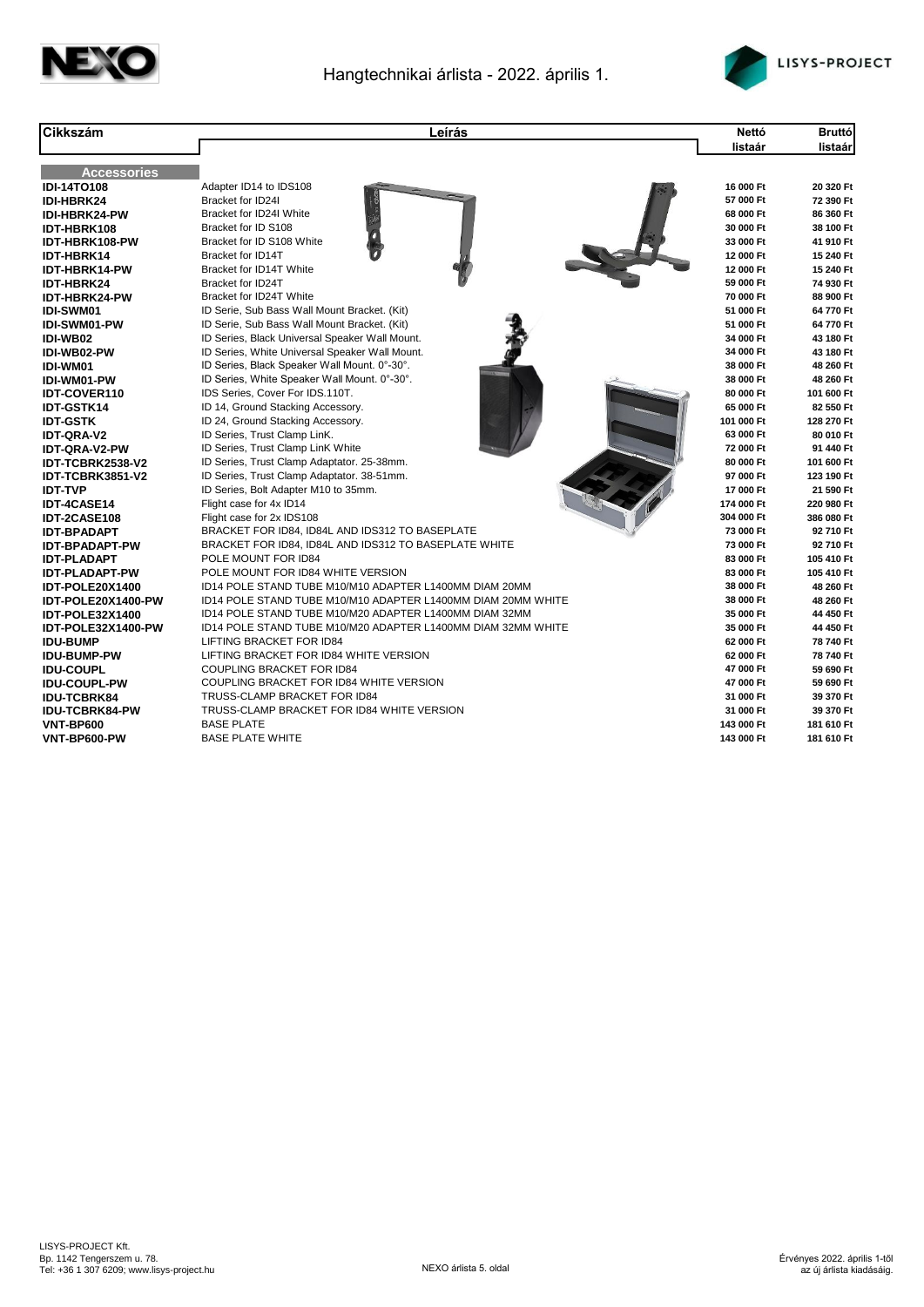



| <b>Cikkszám</b>        | Leírás                                                       | <b>Nettó</b> | <b>Bruttó</b> |
|------------------------|--------------------------------------------------------------|--------------|---------------|
|                        |                                                              | listaár      | listaár       |
|                        |                                                              |              |               |
| <b>Accessories</b>     |                                                              |              |               |
| <b>IDI-14TO108</b>     | Adapter ID14 to IDS108                                       | 16 000 Ft    | 20 320 Ft     |
| IDI-HBRK24             | Bracket for ID24I                                            | 57 000 Ft    | 72 390 Ft     |
| <b>IDI-HBRK24-PW</b>   | Bracket for ID24I White                                      | 68 000 Ft    | 86 360 Ft     |
| IDT-HBRK108            | Bracket for ID S108                                          | 30 000 Ft    | 38 100 Ft     |
| IDT-HBRK108-PW         | Bracket for ID S108 White                                    | 33 000 Ft    | 41 910 Ft     |
| <b>IDT-HBRK14</b>      | Bracket for ID14T                                            | 12 000 Ft    | 15 240 Ft     |
| IDT-HBRK14-PW          | Bracket for ID14T White                                      | 12 000 Ft    | 15 240 Ft     |
| IDT-HBRK24             | <b>Bracket for ID24T</b>                                     | 59 000 Ft    | 74 930 Ft     |
| IDT-HBRK24-PW          | Bracket for ID24T White                                      | 70 000 Ft    | 88 900 Ft     |
| <b>IDI-SWM01</b>       | ID Serie, Sub Bass Wall Mount Bracket. (Kit)                 | 51 000 Ft    | 64 770 Ft     |
| <b>IDI-SWM01-PW</b>    | ID Serie, Sub Bass Wall Mount Bracket. (Kit)                 | 51 000 Ft    | 64 770 Ft     |
| IDI-WB02               | ID Series, Black Universal Speaker Wall Mount.               | 34 000 Ft    | 43 180 Ft     |
| IDI-WB02-PW            | ID Series, White Universal Speaker Wall Mount.               | 34 000 Ft    | 43 180 Ft     |
| IDI-WM01               | ID Series, Black Speaker Wall Mount. 0°-30°.                 | 38 000 Ft    | 48 260 Ft     |
| IDI-WM01-PW            | ID Series, White Speaker Wall Mount. 0°-30°.                 | 38 000 Ft    | 48 260 Ft     |
| <b>IDT-COVER110</b>    | IDS Series, Cover For IDS.110T.                              | 80 000 Ft    | 101 600 Ft    |
| <b>IDT-GSTK14</b>      | ID 14, Ground Stacking Accessory.                            | 65 000 Ft    | 82 550 Ft     |
| <b>IDT-GSTK</b>        | ID 24, Ground Stacking Accessory.                            | 101 000 Ft   | 128 270 Ft    |
| <b>IDT-QRA-V2</b>      | ID Series, Trust Clamp LinK.                                 | 63 000 Ft    | 80 010 Ft     |
| <b>IDT-QRA-V2-PW</b>   | ID Series, Trust Clamp LinK White                            | 72 000 Ft    | 91 440 Ft     |
| IDT-TCBRK2538-V2       | ID Series, Trust Clamp Adaptator. 25-38mm.                   | 80 000 Ft    | 101 600 Ft    |
| IDT-TCBRK3851-V2       | ID Series, Trust Clamp Adaptator. 38-51mm.                   | 97 000 Ft    | 123 190 Ft    |
| <b>IDT-TVP</b>         | ID Series, Bolt Adapter M10 to 35mm.                         | 17 000 Ft    | 21 590 Ft     |
| IDT-4CASE14            | Flight case for 4x ID14                                      | 174 000 Ft   | 220 980 Ft    |
| IDT-2CASE108           | Flight case for 2x IDS108                                    | 304 000 Ft   | 386 080 Ft    |
| <b>IDT-BPADAPT</b>     | BRACKET FOR ID84, ID84L AND IDS312 TO BASEPLATE              | 73 000 Ft    | 92710 Ft      |
| <b>IDT-BPADAPT-PW</b>  | BRACKET FOR ID84, ID84L AND IDS312 TO BASEPLATE WHITE        | 73 000 Ft    | 92710 Ft      |
| <b>IDT-PLADAPT</b>     | POLE MOUNT FOR ID84                                          | 83 000 Ft    | 105 410 Ft    |
| <b>IDT-PLADAPT-PW</b>  | POLE MOUNT FOR ID84 WHITE VERSION                            | 83 000 Ft    | 105 410 Ft    |
| IDT-POLE20X1400        | ID14 POLE STAND TUBE M10/M10 ADAPTER L1400MM DIAM 20MM       | 38 000 Ft    | 48 260 Ft     |
| IDT-POLE20X1400-PW     | ID14 POLE STAND TUBE M10/M10 ADAPTER L1400MM DIAM 20MM WHITE | 38 000 Ft    | 48 260 Ft     |
| <b>IDT-POLE32X1400</b> | ID14 POLE STAND TUBE M10/M20 ADAPTER L1400MM DIAM 32MM       | 35 000 Ft    | 44 450 Ft     |
| IDT-POLE32X1400-PW     | ID14 POLE STAND TUBE M10/M20 ADAPTER L1400MM DIAM 32MM WHITE | 35 000 Ft    | 44 450 Ft     |
| <b>IDU-BUMP</b>        | <b>LIFTING BRACKET FOR ID84</b>                              | 62 000 Ft    | 78 740 Ft     |
| <b>IDU-BUMP-PW</b>     | LIFTING BRACKET FOR ID84 WHITE VERSION                       | 62 000 Ft    | 78 740 Ft     |
| <b>IDU-COUPL</b>       | COUPLING BRACKET FOR ID84                                    | 47 000 Ft    | 59 690 Ft     |
| <b>IDU-COUPL-PW</b>    | COUPLING BRACKET FOR ID84 WHITE VERSION                      | 47 000 Ft    | 59 690 Ft     |
| <b>IDU-TCBRK84</b>     | TRUSS-CLAMP BRACKET FOR ID84                                 | 31 000 Ft    | 39 370 Ft     |
| <b>IDU-TCBRK84-PW</b>  | TRUSS-CLAMP BRACKET FOR ID84 WHITE VERSION                   | 31 000 Ft    | 39 370 Ft     |
| VNT-BP600              | <b>BASE PLATE</b>                                            | 143 000 Ft   | 181 610 Ft    |
| VNT-BP600-PW           | <b>BASE PLATE WHITE</b>                                      | 143 000 Ft   | 181 610 Ft    |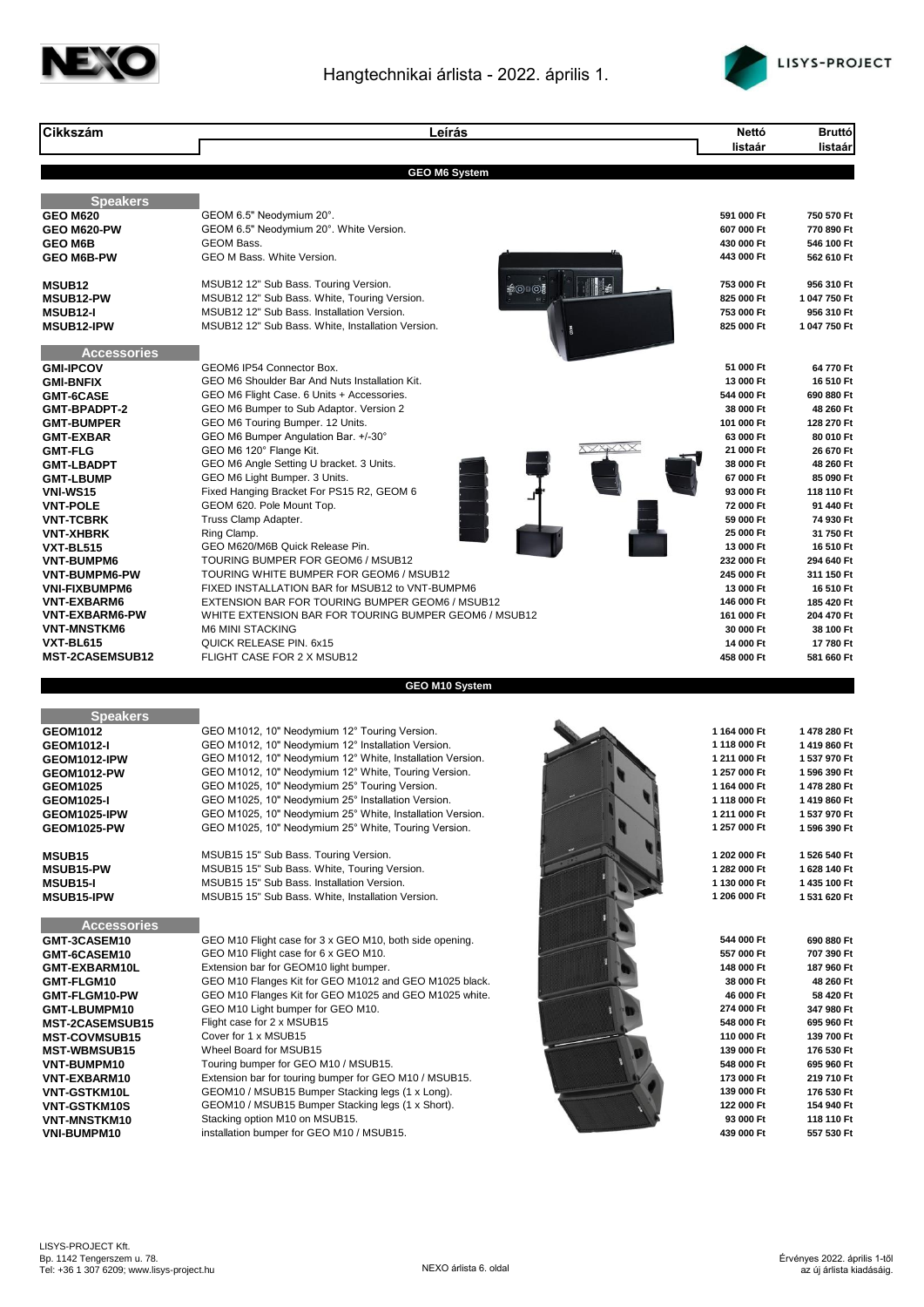



| <b>Cikkszám</b>                                | Leírás                                                                                                            | Nettó                        | <b>Bruttó</b>                |
|------------------------------------------------|-------------------------------------------------------------------------------------------------------------------|------------------------------|------------------------------|
|                                                |                                                                                                                   | listaár                      | listaár                      |
|                                                | <b>GEO M6 System</b>                                                                                              |                              |                              |
| <b>Speakers</b>                                |                                                                                                                   |                              |                              |
| <b>GEO M620</b>                                | GEOM 6.5" Neodymium 20°.                                                                                          | 591 000 Ft                   | 750 570 Ft                   |
| GEO M620-PW                                    | GEOM 6.5" Neodymium 20°. White Version.                                                                           | 607 000 Ft                   | 770 890 Ft                   |
| <b>GEO M6B</b><br><b>GEO M6B-PW</b>            | <b>GEOM Bass.</b><br>GEO M Bass. White Version.                                                                   | 430 000 Ft<br>443 000 Ft     | 546 100 Ft<br>562 610 Ft     |
|                                                |                                                                                                                   |                              |                              |
| MSUB <sub>12</sub>                             | MSUB12 12" Sub Bass. Touring Version.<br><b>≱⊙</b> ⊪⊙≸                                                            | । ‱<br>753 000 Ft            | 956 310 Ft                   |
| <b>MSUB12-PW</b>                               | MSUB12 12" Sub Bass. White, Touring Version.                                                                      | 825 000 Ft                   | 1 047 750 Ft                 |
| <b>MSUB12-I</b>                                | MSUB12 12" Sub Bass. Installation Version.<br>MSUB12 12" Sub Bass. White, Installation Version.                   | 753 000 Ft<br>825 000 Ft     | 956 310 Ft<br>1 047 750 Ft   |
| <b>MSUB12-IPW</b>                              |                                                                                                                   |                              |                              |
| <b>Accessories</b>                             |                                                                                                                   |                              |                              |
| <b>GMI-IPCOV</b>                               | GEOM6 IP54 Connector Box.                                                                                         | 51 000 Ft                    | 64 770 Ft                    |
| <b>GMI-BNFIX</b>                               | GEO M6 Shoulder Bar And Nuts Installation Kit.                                                                    | 13 000 Ft                    | 16 510 Ft                    |
| <b>GMT-6CASE</b><br><b>GMT-BPADPT-2</b>        | GEO M6 Flight Case. 6 Units + Accessories.<br>GEO M6 Bumper to Sub Adaptor. Version 2                             | 544 000 Ft<br>38 000 Ft      | 690 880 Ft<br>48 260 Ft      |
| <b>GMT-BUMPER</b>                              | GEO M6 Touring Bumper. 12 Units.                                                                                  | 101 000 Ft                   | 128 270 Ft                   |
| <b>GMT-EXBAR</b>                               | GEO M6 Bumper Angulation Bar. +/-30°                                                                              | 63 000 Ft                    | 80 010 Ft                    |
| <b>GMT-FLG</b>                                 | GEO M6 120° Flange Kit.                                                                                           | 21 000 Ft                    | 26 670 Ft                    |
| <b>GMT-LBADPT</b>                              | GEO M6 Angle Setting U bracket. 3 Units.                                                                          | 38 000 Ft<br>67 000 Ft       | 48 260 Ft                    |
| <b>GMT-LBUMP</b><br><b>VNI-WS15</b>            | GEO M6 Light Bumper. 3 Units.<br>Fixed Hanging Bracket For PS15 R2, GEOM 6                                        | 93 000 Ft                    | 85 090 Ft<br>118 110 Ft      |
| <b>VNT-POLE</b>                                | GEOM 620. Pole Mount Top.                                                                                         | 72 000 Ft                    | 91 440 Ft                    |
| <b>VNT-TCBRK</b>                               | Truss Clamp Adapter.                                                                                              | 59 000 Ft                    | 74 930 Ft                    |
| <b>VNT-XHBRK</b>                               | Ring Clamp.                                                                                                       | 25 000 Ft                    | 31 750 Ft                    |
| <b>VXT-BL515</b><br><b>VNT-BUMPM6</b>          | GEO M620/M6B Quick Release Pin.<br>TOURING BUMPER FOR GEOM6 / MSUB12                                              | 13 000 Ft<br>232 000 Ft      | 16 510 Ft<br>294 640 Ft      |
| VNT-BUMPM6-PW                                  | TOURING WHITE BUMPER FOR GEOM6 / MSUB12                                                                           | 245 000 Ft                   | 311 150 Ft                   |
| <b>VNI-FIXBUMPM6</b>                           | FIXED INSTALLATION BAR for MSUB12 to VNT-BUMPM6                                                                   | 13 000 Ft                    | 16 510 Ft                    |
| <b>VNT-EXBARM6</b>                             | EXTENSION BAR FOR TOURING BUMPER GEOM6 / MSUB12                                                                   | 146 000 Ft                   | 185 420 Ft                   |
| <b>VNT-EXBARM6-PW</b><br><b>VNT-MNSTKM6</b>    | WHITE EXTENSION BAR FOR TOURING BUMPER GEOM6 / MSUB12<br><b>M6 MINI STACKING</b>                                  | 161 000 Ft<br>30 000 Ft      | 204 470 Ft<br>38 100 Ft      |
| VXT-BL615                                      | QUICK RELEASE PIN. 6x15                                                                                           | 14 000 Ft                    | 17 780 Ft                    |
| <b>MST-2CASEMSUB12</b>                         | FLIGHT CASE FOR 2 X MSUB12                                                                                        | 458 000 Ft                   | 581 660 Ft                   |
|                                                | GEO M10 System                                                                                                    |                              |                              |
|                                                |                                                                                                                   |                              |                              |
| <b>Speakers</b>                                |                                                                                                                   |                              |                              |
| <b>GEOM1012</b><br><b>GEOM1012-I</b>           | GEO M1012, 10" Neodymium 12° Touring Version.<br>GEO M1012, 10" Neodymium 12° Installation Version.               | 1 164 000 Ft<br>1 118 000 Ft | 1478 280 Ft<br>1419860 Ft    |
| GEOM1012-IPW                                   | GEO M1012, 10" Neodymium 12° White, Installation Version.                                                         | 1 211 000 Ft                 | 1 537 970 Ft                 |
| <b>GEOM1012-PW</b>                             | GEO M1012, 10" Neodymium 12° White, Touring Version.                                                              | 1 257 000 Ft                 | 1 596 390 Ft                 |
| <b>GEOM1025</b>                                | GEO M1025, 10" Neodymium 25° Touring Version.                                                                     | 1 164 000 Ft                 | 1478 280 Ft                  |
| <b>GEOM1025-I</b>                              | GEO M1025, 10" Neodymium 25° Installation Version.                                                                | 1118 000 Ft                  | 1419860 Ft                   |
| GEOM1025-IPW<br>GEOM1025-PW                    | GEO M1025, 10" Neodymium 25° White, Installation Version.<br>GEO M1025, 10" Neodymium 25° White, Touring Version. | 1 211 000 Ft<br>1 257 000 Ft | 1 537 970 Ft<br>1 596 390 Ft |
|                                                |                                                                                                                   |                              |                              |
| MSUB <sub>15</sub>                             | MSUB15 15" Sub Bass. Touring Version.                                                                             | 1 202 000 Ft                 | 1 526 540 Ft                 |
| MSUB15-PW                                      | MSUB15 15" Sub Bass. White, Touring Version.                                                                      | 1 282 000 Ft                 | 1628 140 Ft                  |
| <b>MSUB15-I</b><br><b>MSUB15-IPW</b>           | MSUB15 15" Sub Bass. Installation Version.<br>MSUB15 15" Sub Bass. White, Installation Version.                   | 1 130 000 Ft<br>1 206 000 Ft | 1 435 100 Ft<br>1 531 620 Ft |
|                                                |                                                                                                                   |                              |                              |
| <b>Accessories</b>                             |                                                                                                                   |                              |                              |
| GMT-3CASEM10<br>GMT-6CASEM10                   | GEO M10 Flight case for 3 x GEO M10, both side opening.<br>GEO M10 Flight case for 6 x GEO M10.                   | 544 000 Ft<br>557 000 Ft     | 690 880 Ft<br>707 390 Ft     |
| GMT-EXBARM10L                                  | Extension bar for GEOM10 light bumper.                                                                            | 148 000 Ft                   | 187 960 Ft                   |
| GMT-FLGM10                                     | GEO M10 Flanges Kit for GEO M1012 and GEO M1025 black.                                                            | 38 000 Ft                    | 48 260 Ft                    |
| GMT-FLGM10-PW                                  | GEO M10 Flanges Kit for GEO M1025 and GEO M1025 white.                                                            | 46 000 Ft                    | 58 420 Ft                    |
| GMT-LBUMPM10                                   | GEO M10 Light bumper for GEO M10.<br>Flight case for 2 x MSUB15                                                   | 274 000 Ft<br>548 000 Ft     | 347 980 Ft<br>695 960 Ft     |
| <b>MST-2CASEMSUB15</b><br><b>MST-COVMSUB15</b> | Cover for 1 x MSUB15                                                                                              | 110 000 Ft                   | 139 700 Ft                   |
| <b>MST-WBMSUB15</b>                            | Wheel Board for MSUB15                                                                                            | 139 000 Ft                   | 176 530 Ft                   |
| VNT-BUMPM10                                    | Touring bumper for GEO M10 / MSUB15.                                                                              | 548 000 Ft                   | 695 960 Ft                   |
| VNT-EXBARM10                                   | Extension bar for touring bumper for GEO M10 / MSUB15.                                                            | 173 000 Ft                   | 219 710 Ft                   |
| VNT-GSTKM10L<br><b>VNT-GSTKM10S</b>            | GEOM10 / MSUB15 Bumper Stacking legs (1 x Long).<br>GEOM10 / MSUB15 Bumper Stacking legs (1 x Short).             | 139 000 Ft<br>122 000 Ft     | 176 530 Ft<br>154 940 Ft     |
| <b>VNT-MNSTKM10</b>                            | Stacking option M10 on MSUB15.                                                                                    | 93 000 Ft                    | 118 110 Ft                   |
| VNI-BUMPM10                                    | installation bumper for GEO M10 / MSUB15.                                                                         | 439 000 Ft                   | 557 530 Ft                   |
|                                                |                                                                                                                   |                              |                              |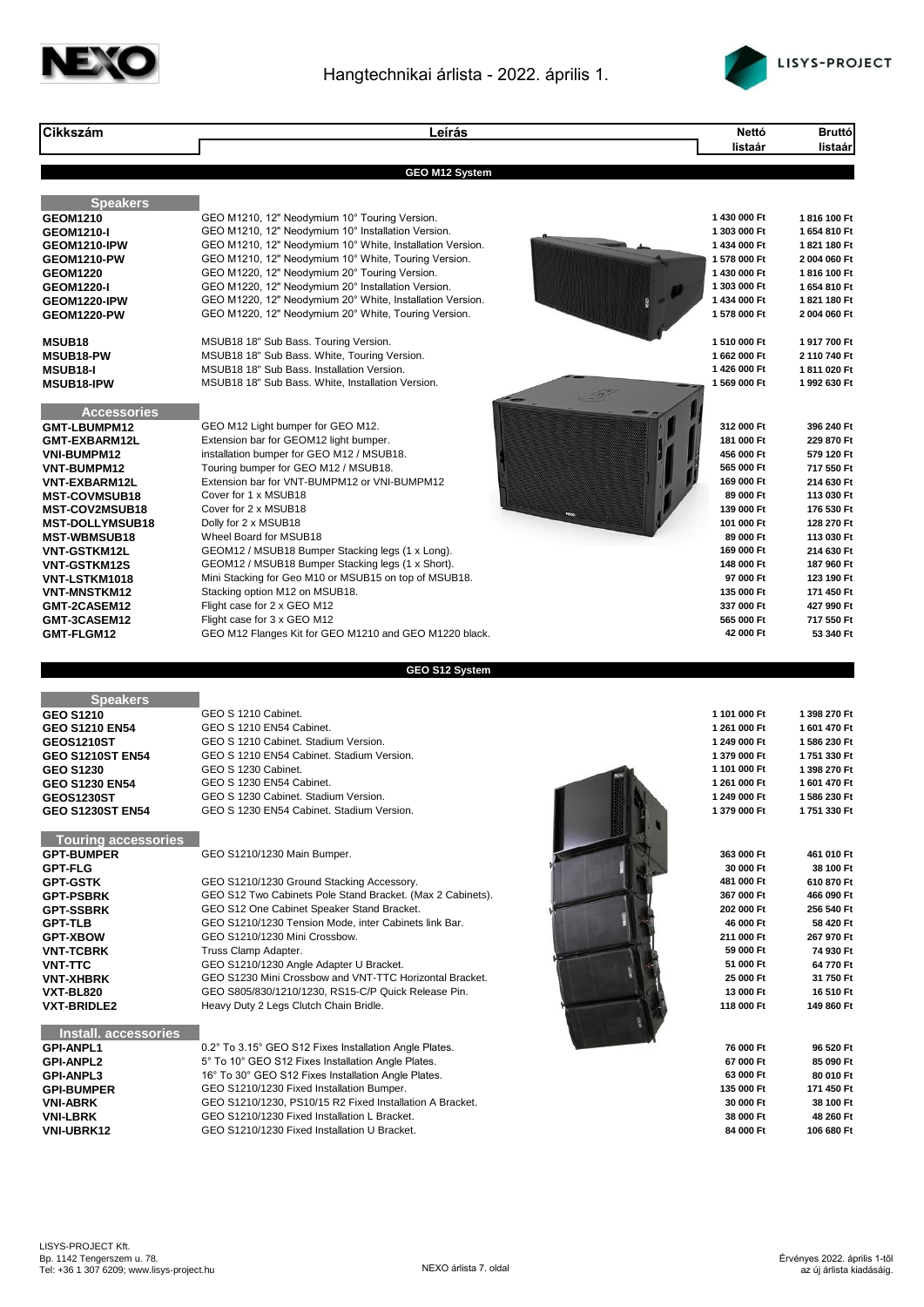



| <b>Cikkszám</b>                                                                                                                                                                                                                                                                                                            | Leírás                                                                                                                                                                                                                                                                                                                                                                                                                                                                                                                                                                                                                                         | Nettó                                                                                                                                                                                                                    | Bruttó                                                                                                                                                                                                                      |
|----------------------------------------------------------------------------------------------------------------------------------------------------------------------------------------------------------------------------------------------------------------------------------------------------------------------------|------------------------------------------------------------------------------------------------------------------------------------------------------------------------------------------------------------------------------------------------------------------------------------------------------------------------------------------------------------------------------------------------------------------------------------------------------------------------------------------------------------------------------------------------------------------------------------------------------------------------------------------------|--------------------------------------------------------------------------------------------------------------------------------------------------------------------------------------------------------------------------|-----------------------------------------------------------------------------------------------------------------------------------------------------------------------------------------------------------------------------|
|                                                                                                                                                                                                                                                                                                                            |                                                                                                                                                                                                                                                                                                                                                                                                                                                                                                                                                                                                                                                | listaár                                                                                                                                                                                                                  | listaár                                                                                                                                                                                                                     |
|                                                                                                                                                                                                                                                                                                                            | <b>GEO M12 System</b>                                                                                                                                                                                                                                                                                                                                                                                                                                                                                                                                                                                                                          |                                                                                                                                                                                                                          |                                                                                                                                                                                                                             |
| <b>Speakers</b><br><b>GEOM1210</b><br><b>GEOM1210-I</b><br>GEOM1210-IPW<br>GEOM1210-PW<br><b>GEOM1220</b><br><b>GEOM1220-I</b><br>GEOM1220-IPW<br><b>GEOM1220-PW</b>                                                                                                                                                       | GEO M1210, 12" Neodymium 10° Touring Version.<br>GEO M1210, 12" Neodymium 10° Installation Version.<br>GEO M1210, 12" Neodymium 10° White, Installation Version.<br>GEO M1210, 12" Neodymium 10° White, Touring Version.<br>GEO M1220, 12" Neodymium 20° Touring Version.<br>GEO M1220, 12" Neodymium 20° Installation Version.<br>GEO M1220, 12" Neodymium 20° White, Installation Version.<br>GEO M1220, 12" Neodymium 20° White, Touring Version.                                                                                                                                                                                           | 1 430 000 Ft<br>1 303 000 Ft<br>1434 000 Ft<br>1 578 000 Ft<br>1 430 000 Ft<br>1 303 000 Ft<br>1 434 000 Ft<br>1 578 000 Ft                                                                                              | 1816 100 Ft<br>1654810 Ft<br>1821 180 Ft<br>2004 060 Ft<br>1816 100 Ft<br>1654 810 Ft<br>1821 180 Ft<br>2004 060 Ft                                                                                                         |
| MSUB <sub>18</sub><br>MSUB18-PW<br><b>MSUB18-I</b><br><b>MSUB18-IPW</b>                                                                                                                                                                                                                                                    | MSUB18 18" Sub Bass. Touring Version.<br>MSUB18 18" Sub Bass. White, Touring Version.<br>MSUB18 18" Sub Bass. Installation Version.<br>MSUB18 18" Sub Bass. White, Installation Version.                                                                                                                                                                                                                                                                                                                                                                                                                                                       | 1 510 000 Ft<br>1 662 000 Ft<br>1426 000 Ft<br>1 569 000 Ft                                                                                                                                                              | 1917700 Ft<br>2110740 Ft<br>1811020 Ft<br>1 992 630 Ft                                                                                                                                                                      |
| <b>Accessories</b><br>GMT-LBUMPM12<br>GMT-EXBARM12L<br><b>VNI-BUMPM12</b><br>VNT-BUMPM12<br>VNT-EXBARM12L<br><b>MST-COVMSUB18</b><br><b>MST-COV2MSUB18</b><br><b>MST-DOLLYMSUB18</b><br><b>MST-WBMSUB18</b><br>VNT-GSTKM12L<br>VNT-GSTKM12S<br>VNT-LSTKM1018<br>VNT-MNSTKM12<br>GMT-2CASEM12<br>GMT-3CASEM12<br>GMT-FLGM12 | GEO M12 Light bumper for GEO M12.<br>Extension bar for GEOM12 light bumper.<br>installation bumper for GEO M12 / MSUB18.<br>Touring bumper for GEO M12 / MSUB18.<br>Extension bar for VNT-BUMPM12 or VNI-BUMPM12<br>Cover for 1 x MSUB18<br>Cover for 2 x MSUB18<br>Dolly for 2 x MSUB18<br>Wheel Board for MSUB18<br>GEOM12 / MSUB18 Bumper Stacking legs (1 x Long).<br>GEOM12 / MSUB18 Bumper Stacking legs (1 x Short).<br>Mini Stacking for Geo M10 or MSUB15 on top of MSUB18.<br>Stacking option M12 on MSUB18.<br>Flight case for 2 x GEO M12<br>Flight case for 3 x GEO M12<br>GEO M12 Flanges Kit for GEO M1210 and GEO M1220 black. | 312 000 Ft<br>181 000 Ft<br>456 000 Ft<br>565 000 Ft<br>169 000 Ft<br>89 000 Ft<br>139 000 Ft<br>101 000 Ft<br>89 000 Ft<br>169 000 Ft<br>148 000 Ft<br>97 000 Ft<br>135 000 Ft<br>337 000 Ft<br>565 000 Ft<br>42 000 Ft | 396 240 Ft<br>229 870 Ft<br>579 120 Ft<br>717 550 Ft<br>214 630 Ft<br>113 030 Ft<br>176 530 Ft<br>128 270 Ft<br>113 030 Ft<br>214 630 Ft<br>187 960 Ft<br>123 190 Ft<br>171 450 Ft<br>427 990 Ft<br>717 550 Ft<br>53 340 Ft |
|                                                                                                                                                                                                                                                                                                                            |                                                                                                                                                                                                                                                                                                                                                                                                                                                                                                                                                                                                                                                |                                                                                                                                                                                                                          |                                                                                                                                                                                                                             |
|                                                                                                                                                                                                                                                                                                                            | GEO S12 System                                                                                                                                                                                                                                                                                                                                                                                                                                                                                                                                                                                                                                 |                                                                                                                                                                                                                          |                                                                                                                                                                                                                             |
| <b>Speakers</b><br><b>GEO S1210</b><br><b>GEO S1210 EN54</b><br><b>GEOS1210ST</b><br><b>GEO S1210ST EN54</b><br><b>GEO S1230</b><br><b>GEO S1230 EN54</b><br><b>GEOS1230ST</b><br><b>GEO S1230ST EN54</b>                                                                                                                  | GEO S 1210 Cabinet.<br>GEO S 1210 EN54 Cabinet.<br>GEO S 1210 Cabinet. Stadium Version.<br>GEO S 1210 EN54 Cabinet. Stadium Version.<br>GEO S 1230 Cabinet.<br>GEO S 1230 EN54 Cabinet.<br>GEO S 1230 Cabinet. Stadium Version.<br>GEO S 1230 EN54 Cabinet. Stadium Version.                                                                                                                                                                                                                                                                                                                                                                   | 1 101 000 Ft<br>1 261 000 Ft<br>1 249 000 Ft<br>1 379 000 Ft<br>1 101 000 Ft<br>1 261 000 Ft<br>1 249 000 Ft<br>1 379 000 Ft                                                                                             | 1 398 270 Ft<br>1 601 470 Ft<br>1 586 230 Ft<br>1751 330 Ft<br>1 398 270 Ft<br>1 601 470 Ft<br>1586 230 Ft<br>1751330 Ft                                                                                                    |
| <b>Touring accessories</b><br><b>GPT-BUMPER</b><br><b>GPT-FLG</b><br><b>GPT-GSTK</b><br><b>GPT-PSBRK</b><br><b>GPT-SSBRK</b><br><b>GPT-TLB</b><br><b>GPT-XBOW</b><br><b>VNT-TCBRK</b><br><b>VNT-TTC</b><br><b>VNT-XHBRK</b><br>VXT-BL820<br><b>VXT-BRIDLE2</b>                                                             | GEO S1210/1230 Main Bumper.<br>GEO S1210/1230 Ground Stacking Accessory.<br>GEO S12 Two Cabinets Pole Stand Bracket. (Max 2 Cabinets).<br>GEO S12 One Cabinet Speaker Stand Bracket.<br>GEO S1210/1230 Tension Mode, inter Cabinets link Bar.<br>GEO S1210/1230 Mini Crossbow.<br>Truss Clamp Adapter.<br>GEO S1210/1230 Angle Adapter U Bracket.<br>GEO S1230 Mini Crossbow and VNT-TTC Horizontal Bracket.<br>GEO S805/830/1210/1230, RS15-C/P Quick Release Pin.<br>Heavy Duty 2 Legs Clutch Chain Bridle.                                                                                                                                  | 363 000 Ft<br>30 000 Ft<br>481 000 Ft<br>367 000 Ft<br>202 000 Ft<br>46 000 Ft<br>211 000 Ft<br>59 000 Ft<br>51 000 Ft<br>25 000 Ft<br>13 000 Ft<br>118 000 Ft                                                           | 461 010 Ft<br>38 100 Ft<br>610 870 Ft<br>466 090 Ft<br>256 540 Ft<br>58 420 Ft<br>267 970 Ft<br>74 930 Ft<br>64 770 Ft<br>31 750 Ft<br>16 510 Ft<br>149 860 Ft                                                              |
| Install. accessories<br><b>GPI-ANPL1</b><br><b>GPI-ANPL2</b><br><b>GPI-ANPL3</b><br><b>GPI-BUMPER</b><br><b>VNI-ABRK</b><br><b>VNI-LBRK</b><br><b>VNI-UBRK12</b>                                                                                                                                                           | 0.2° To 3.15° GEO S12 Fixes Installation Angle Plates.<br>5° To 10° GEO S12 Fixes Installation Angle Plates.<br>16° To 30° GEO S12 Fixes Installation Angle Plates.<br>GEO S1210/1230 Fixed Installation Bumper.<br>GEO S1210/1230, PS10/15 R2 Fixed Installation A Bracket.<br>GEO S1210/1230 Fixed Installation L Bracket.<br>GEO S1210/1230 Fixed Installation U Bracket.                                                                                                                                                                                                                                                                   | 76 000 Ft<br>67 000 Ft<br>63 000 Ft<br>135 000 Ft<br>30 000 Ft<br>38 000 Ft<br>84 000 Ft                                                                                                                                 | 96 520 Ft<br>85 090 Ft<br>80 010 Ft<br>171 450 Ft<br>38 100 Ft<br>48 260 Ft<br>106 680 Ft                                                                                                                                   |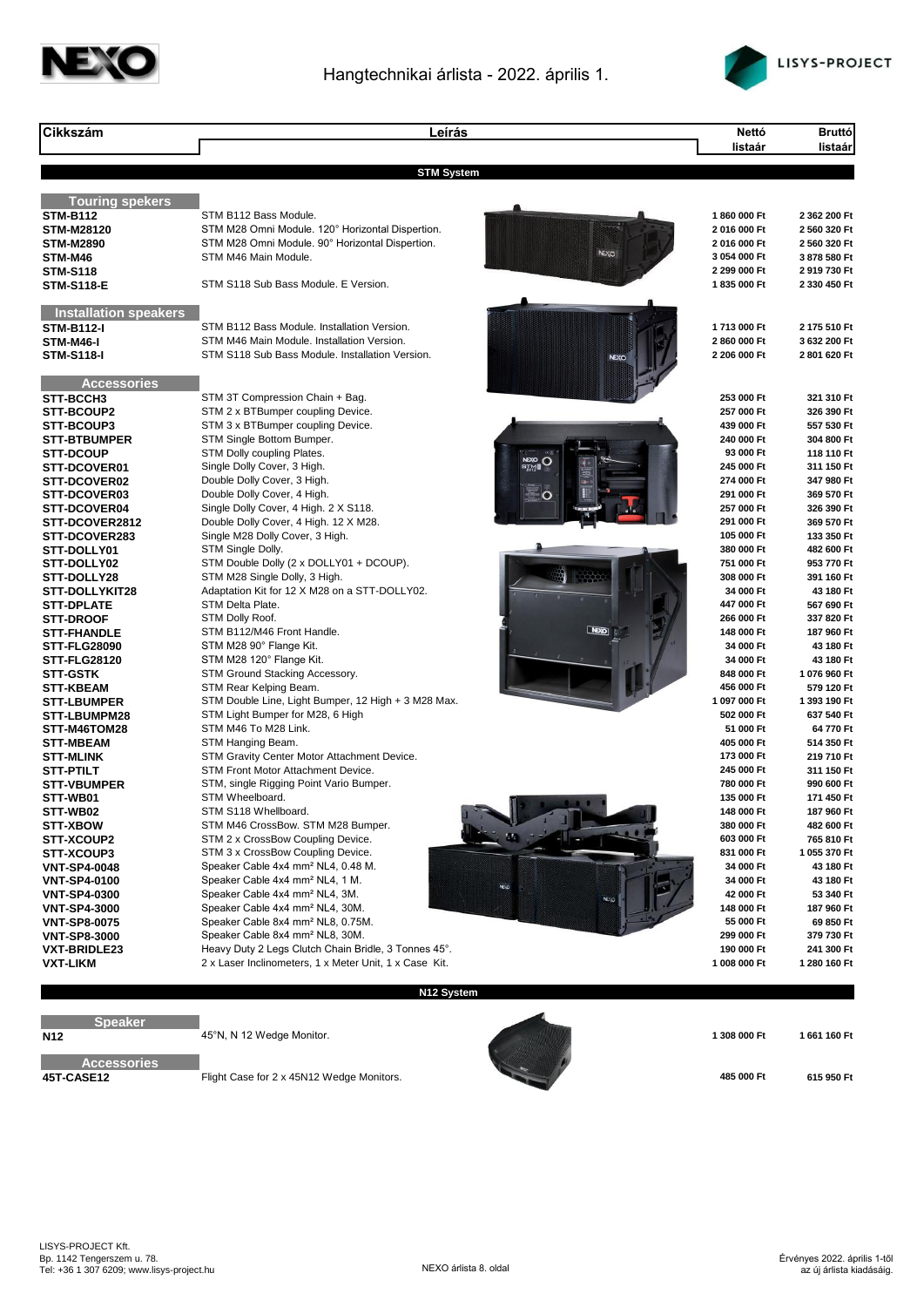



| Cikkszám                                  | Leírás                                                                                                         |                     | Nettó                      | <b>Bruttó</b>              |
|-------------------------------------------|----------------------------------------------------------------------------------------------------------------|---------------------|----------------------------|----------------------------|
|                                           |                                                                                                                |                     | listaár                    | listaár                    |
|                                           | <b>STM System</b>                                                                                              |                     |                            |                            |
|                                           |                                                                                                                |                     |                            |                            |
| <b>Touring spekers</b><br><b>STM-B112</b> | STM B112 Bass Module.                                                                                          |                     | 1860 000 Ft                | 2 362 200 Ft               |
| <b>STM-M28120</b>                         | STM M28 Omni Module. 120° Horizontal Dispertion.                                                               |                     | 2016 000 Ft                | 2 560 320 Ft               |
| <b>STM-M2890</b>                          | STM M28 Omni Module. 90° Horizontal Dispertion.                                                                |                     | 2016 000 Ft                | 2 560 320 Ft               |
| STM-M46                                   | STM M46 Main Module.                                                                                           | <b>NEXC</b>         | 3 054 000 Ft               | 3 878 580 Ft               |
| <b>STM-S118</b>                           |                                                                                                                |                     | 2 299 000 Ft               | 2 919 730 Ft               |
| <b>STM-S118-E</b>                         | STM S118 Sub Bass Module. E Version.                                                                           |                     | 1835 000 Ft                | 2 330 450 Ft               |
| <b>Installation speakers</b>              |                                                                                                                |                     |                            |                            |
| <b>STM-B112-I</b>                         | STM B112 Bass Module. Installation Version.                                                                    |                     | 1713 000 Ft                | 2 175 510 Ft               |
| STM-M46-I                                 | STM M46 Main Module. Installation Version.                                                                     |                     | 2 860 000 Ft               | 3 632 200 Ft               |
| <b>STM-S118-I</b>                         | STM S118 Sub Bass Module. Installation Version.                                                                |                     | 2 206 000 Ft               | 2 801 620 Ft               |
| <b>Accessories</b>                        |                                                                                                                |                     |                            |                            |
| STT-BCCH3                                 | STM 3T Compression Chain + Bag.                                                                                |                     | 253 000 Ft                 | 321 310 Ft                 |
| STT-BCOUP2                                | STM 2 x BTBumper coupling Device.                                                                              |                     | 257 000 Ft                 | 326 390 Ft                 |
| <b>STT-BCOUP3</b>                         | STM 3 x BTBumper coupling Device.                                                                              |                     | 439 000 Ft                 | 557 530 Ft                 |
| <b>STT-BTBUMPER</b><br><b>STT-DCOUP</b>   | STM Single Bottom Bumper.<br>STM Dolly coupling Plates.                                                        |                     | 240 000 Ft<br>93 000 Ft    | 304 800 Ft<br>118 110 Ft   |
| STT-DCOVER01                              | Single Dolly Cover, 3 High.                                                                                    | <b>NEXO</b><br>STAN | 245 000 Ft                 | 311 150 Ft                 |
| STT-DCOVER02                              | Double Dolly Cover, 3 High.                                                                                    |                     | 274 000 Ft                 | 347 980 Ft                 |
| STT-DCOVER03                              | Double Dolly Cover, 4 High.                                                                                    |                     | 291 000 Ft                 | 369 570 Ft                 |
| STT-DCOVER04                              | Single Dolly Cover, 4 High. 2 X S118.                                                                          |                     | 257 000 Ft                 | 326 390 Ft                 |
| STT-DCOVER2812                            | Double Dolly Cover, 4 High. 12 X M28.                                                                          |                     | 291 000 Ft                 | 369 570 Ft                 |
| STT-DCOVER283                             | Single M28 Dolly Cover, 3 High.                                                                                |                     | 105 000 Ft                 | 133 350 Ft                 |
| STT-DOLLY01                               | STM Single Dolly.                                                                                              |                     | 380 000 Ft                 | 482 600 Ft                 |
| STT-DOLLY02                               | STM Double Dolly (2 x DOLLY01 + DCOUP).                                                                        |                     | 751 000 Ft                 | 953 770 Ft                 |
| STT-DOLLY28                               | STM M28 Single Dolly, 3 High.                                                                                  |                     | 308 000 Ft                 | 391 160 Ft                 |
| STT-DOLLYKIT28                            | Adaptation Kit for 12 X M28 on a STT-DOLLY02.                                                                  |                     | 34 000 Ft                  | 43 180 Ft                  |
| <b>STT-DPLATE</b>                         | STM Delta Plate.                                                                                               |                     | 447 000 Ft                 | 567 690 Ft                 |
| <b>STT-DROOF</b><br><b>STT-FHANDLE</b>    | STM Dolly Roof.<br>STM B112/M46 Front Handle.                                                                  | <b>NEXO</b>         | 266 000 Ft<br>148 000 Ft   | 337 820 Ft<br>187 960 Ft   |
| <b>STT-FLG28090</b>                       | STM M28 90° Flange Kit.                                                                                        |                     | 34 000 Ft                  | 43 180 Ft                  |
| <b>STT-FLG28120</b>                       | STM M28 120° Flange Kit.                                                                                       |                     | 34 000 Ft                  | 43 180 Ft                  |
| <b>STT-GSTK</b>                           | STM Ground Stacking Accessory.                                                                                 |                     | 848 000 Ft                 | 1 076 960 Ft               |
| <b>STT-KBEAM</b>                          | STM Rear Kelping Beam.                                                                                         |                     | 456 000 Ft                 | 579 120 Ft                 |
| <b>STT-LBUMPER</b>                        | STM Double Line, Light Bumper, 12 High + 3 M28 Max.                                                            |                     | 1 097 000 Ft               | 1 393 190 Ft               |
| <b>STT-LBUMPM28</b>                       | STM Light Bumper for M28, 6 High                                                                               |                     | 502 000 Ft                 | 637 540 Ft                 |
| STT-M46TOM28                              | STM M46 To M28 Link.                                                                                           |                     | 51 000 Ft                  | 64 770 Ft                  |
| <b>STT-MBEAM</b>                          | STM Hanging Beam.                                                                                              |                     | 405 000 Ft                 | 514 350 Ft                 |
| <b>STT-MLINK</b>                          | STM Gravity Center Motor Attachment Device.                                                                    |                     | 173 000 Ft                 | 219 710 Ft                 |
| <b>STT-PTILT</b>                          | <b>STM Front Motor Attachment Device.</b>                                                                      |                     | 245 000 Ft                 | 311 150 Ft                 |
| <b>STT-VBUMPER</b><br>STT-WB01            | STM, single Rigging Point Vario Bumper.<br>STM Wheelboard.                                                     |                     | 780 000 Ft<br>135 000 Ft   | 990 600 Ft<br>171 450 Ft   |
| STT-WB02                                  | STM S118 Whellboard.                                                                                           |                     | 148 000 Ft                 | 187 960 Ft                 |
| <b>STT-XBOW</b>                           | STM M46 CrossBow. STM M28 Bumper.                                                                              |                     | 380 000 Ft                 | 482 600 Ft                 |
| STT-XCOUP2                                | STM 2 x CrossBow Coupling Device.                                                                              |                     | 603 000 Ft                 | 765 810 Ft                 |
| STT-XCOUP3                                | STM 3 x CrossBow Coupling Device.                                                                              |                     | 831 000 Ft                 | 1 055 370 Ft               |
| <b>VNT-SP4-0048</b>                       | Speaker Cable 4x4 mm <sup>2</sup> NL4, 0.48 M.                                                                 |                     | 34 000 Ft                  | 43 180 Ft                  |
| <b>VNT-SP4-0100</b>                       | Speaker Cable 4x4 mm <sup>2</sup> NL4, 1 M.                                                                    | <b>NEVO</b>         | 34 000 Ft                  | 43 180 Ft                  |
| <b>VNT-SP4-0300</b>                       | Speaker Cable 4x4 mm <sup>2</sup> NL4, 3M.                                                                     | NE <sub>V</sub>     | 42 000 Ft                  | 53 340 Ft                  |
| <b>VNT-SP4-3000</b>                       | Speaker Cable 4x4 mm <sup>2</sup> NL4, 30M.                                                                    |                     | 148 000 Ft                 | 187 960 Ft                 |
| <b>VNT-SP8-0075</b>                       | Speaker Cable 8x4 mm <sup>2</sup> NL8, 0.75M.                                                                  |                     | 55 000 Ft                  | 69 850 Ft                  |
| <b>VNT-SP8-3000</b>                       | Speaker Cable 8x4 mm <sup>2</sup> NL8, 30M.                                                                    |                     | 299 000 Ft                 | 379 730 Ft                 |
| <b>VXT-BRIDLE23</b><br><b>VXT-LIKM</b>    | Heavy Duty 2 Legs Clutch Chain Bridle, 3 Tonnes 45°.<br>2 x Laser Inclinometers, 1 x Meter Unit, 1 x Case Kit. |                     | 190 000 Ft<br>1 008 000 Ft | 241 300 Ft<br>1 280 160 Ft |
|                                           |                                                                                                                |                     |                            |                            |
|                                           | N12 System                                                                                                     |                     |                            |                            |

**Speaker** r.

Accessories<br>45T-CASE12 n.

**485 000 Ft 615 950 Ft 615 950 Ft 615 950 Ft 615 950 Ft** 



**N12 1** 308 000 Ft **1661 160 Ft 1661 160 Ft 1661 160 Ft**